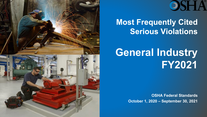

# OSH A

#### **Most Frequently Cited Serious Violations**

## **General Industry FY2021**

**OSHA Federal Standards October 1, 2020 – September 30, 2021**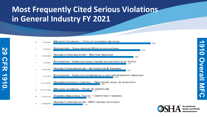#### **Most Frequently Cited Serious Violations in General Industry FY 2021**



**29 CFR 1910.**

161

コカ

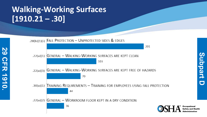## **Walking -Working Surfaces [1910.21 – .30]**

**29 CFR 1910.**

**CFR 1910** 

.28(b)(1)(i) FALL PROTECTION - UNPROTECTED SIDES & EDGES 201 **GENERAL - WALKING-WORKING SURFACES ARE KEPT CLEAN**  $.22(a)(1)$ 103 GENERAL - WALKING-WORKING SURFACES ARE KEPT FREE OF HAZARDS  $.22(a)(3)$ 70 .30(a)(1) TRAINING REQUIREMENTS - TRAINING FOR EMPLOYEES USING FALL PROTECTION 44 GENERAL - WORKROOM FLOOR KEPT IN A DRY CONDITION  $.22(a)(2)$ 36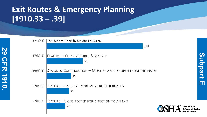## **Exit Routes & Emergency Planning [1910.33 – .39]**

**29 CFR 1910.**

**CFR 1910** 

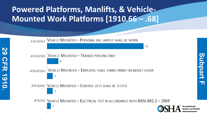## **Powered Platforms, Manlifts, & Vehicle-Mounted Work Platforms [1910.66 – .68]**

**29 CFR 1910.**

**CFR 1910** 

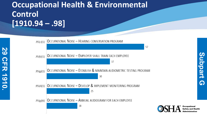#### **Occupational Health & Environmental Control [1910.94 – .98]**

**29 CFR 1910.**

**CFR 1910** 

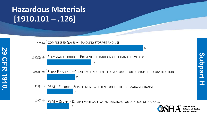## **Hazardous Materials [1910.101 – .126]**

**29 CFR 1910.**

**CFR 1910** 

82



Occupational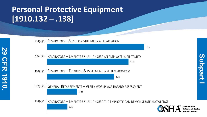## **Personal Protective Equipment [1910.132 – .138]**

**29 CFR 1910.**

**CFR 1910** 

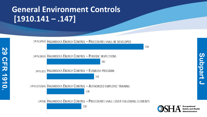## **General Environment Controls [1910.141 – .147]**

**29 CFR 1910.**

**CFR 1910** 

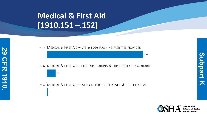## **Medical & First Aid [1910.151 –.152]**



**Occupational** 

**Subpart K**

天

ubpart

 $\boldsymbol{\omega}$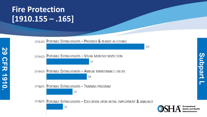#### **Fire Protection [1910.155 – .165]**

**29 CFR 1910.**

**CFR 1910** 

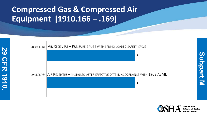## **Compressed Gas & Compressed Air Equipment [1910.166 – .169]**





**Subpart M**

K

ubpart

 $\boldsymbol{\omega}$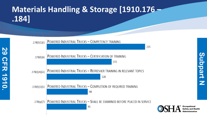## **Materials Handling & Storage [1910.176 – .184]**

**29 CFR 1910.**

**CFR 1910** 

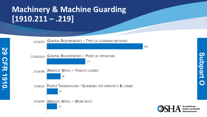## **Machinery & Machine Guarding [1910.211 – .219]**

**29 CFR 1910.**

**CFR 1910** 



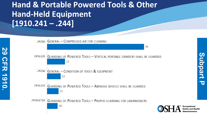#### **Hand & Portable Powered Tools & Other Hand-Held Equipment [1910.241 – .244]**

**29 CFR 1910.**

**CFR 1910** 

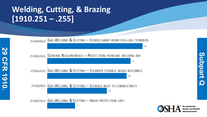## **Welding, Cutting, & Brazing [1910.251 – .255]**

**29 CFR 1910.**

**CFR 1910** 

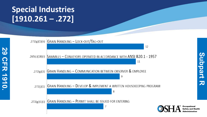## **Special Industries [1910.261 – .272]**

**29 CFR 1910.**

**CFR 1910** 

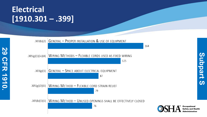## **Electrical [1910.301 – .399]**

**29 CFR 1910.**

**CFR 1910** 

67



Occupational

Administration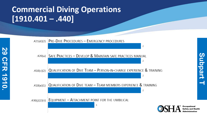## **Commercial Diving Operations [1910.401 – .440]**

**29 CFR 1910.**

**CFR 1910** 

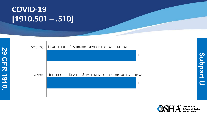#### **COVID -19 [1910.501 – .510]**